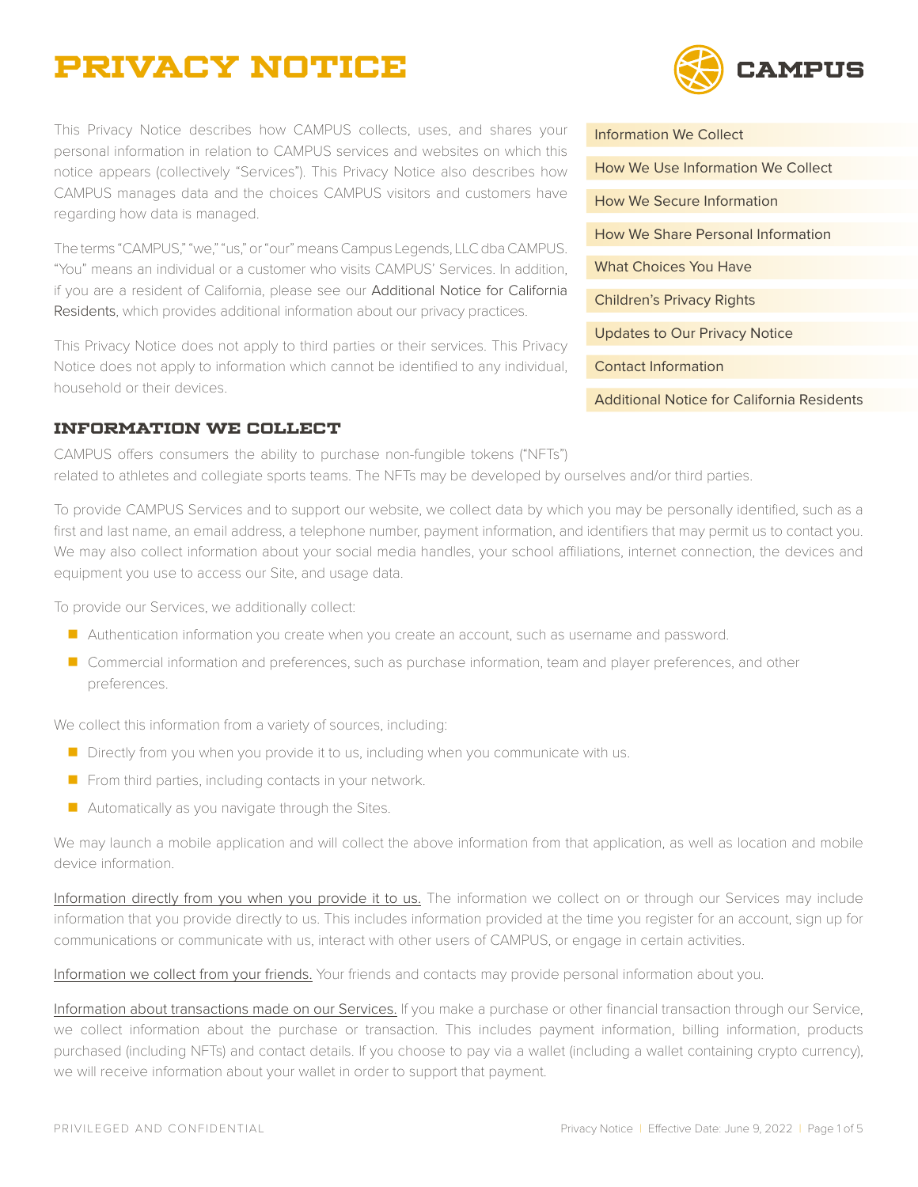# **Privacy Notice**

This Privacy Notice describes how CAMPUS collects, uses, and shares your personal information in relation to CAMPUS services and websites on which this notice appears (collectively "Services"). This Privacy Notice also describes how CAMPUS manages data and the choices CAMPUS visitors and customers have regarding how data is managed.

The terms "CAMPUS," "we," "us," or "our" means Campus Legends, LLC dba CAMPUS. "You" means an individual or a customer who visits CAMPUS' Services. In addition, if you are a resident of California, please see our [Additional Notice for California](#page-3-0)  [Residents](#page-3-0), which provides additional information about our privacy practices.

This Privacy Notice does not apply to third parties or their services. This Privacy Notice does not apply to information which cannot be identified to any individual, household or their devices.

#### <span id="page-0-0"></span>**Information We Collect**

**AMPIIS** 

[Information We Collect](#page-0-0) [How We Use Information We Collect](#page-1-0) [How We Secure Information](#page-1-1) [How We Share Personal Information](#page-1-2) [What Choices You Have](#page-2-0) [Children's Privacy Rights](#page-2-1) [Updates to Our Privacy Notice](#page-2-2) [Contact Information](#page-2-3)

[Additional Notice for California Residents](#page-3-0)

CAMPUS offers consumers the ability to purchase non-fungible tokens ("NFTs") related to athletes and collegiate sports teams. The NFTs may be developed by ourselves and/or third parties.

To provide CAMPUS Services and to support our website, we collect data by which you may be personally identified, such as a first and last name, an email address, a telephone number, payment information, and identifiers that may permit us to contact you. We may also collect information about your social media handles, your school affiliations, internet connection, the devices and equipment you use to access our Site, and usage data.

To provide our Services, we additionally collect:

- **Authentication information you create when you create an account, such as username and password.**
- **Commercial information and preferences, such as purchase information, team and player preferences, and other** preferences.

We collect this information from a variety of sources, including:

- $\blacksquare$  Directly from you when you provide it to us, including when you communicate with us.
- $\blacksquare$  From third parties, including contacts in your network.
- **Automatically as you navigate through the Sites.**

We may launch a mobile application and will collect the above information from that application, as well as location and mobile device information.

Information directly from you when you provide it to us. The information we collect on or through our Services may include information that you provide directly to us. This includes information provided at the time you register for an account, sign up for communications or communicate with us, interact with other users of CAMPUS, or engage in certain activities.

Information we collect from your friends. Your friends and contacts may provide personal information about you.

Information about transactions made on our Services. If you make a purchase or other financial transaction through our Service, we collect information about the purchase or transaction. This includes payment information, billing information, products purchased (including NFTs) and contact details. If you choose to pay via a wallet (including a wallet containing crypto currency), we will receive information about your wallet in order to support that payment.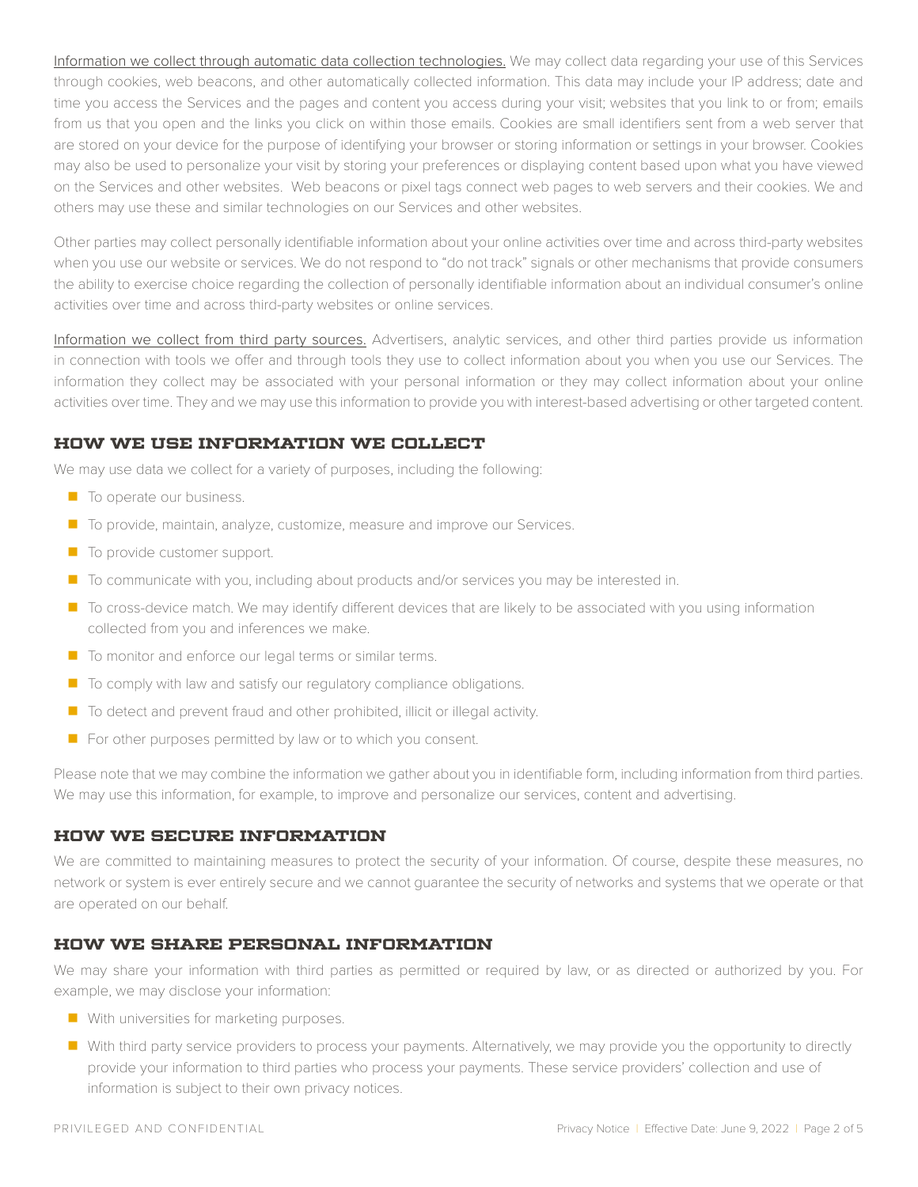Information we collect through automatic data collection technologies. We may collect data regarding your use of this Services through cookies, web beacons, and other automatically collected information. This data may include your IP address; date and time you access the Services and the pages and content you access during your visit; websites that you link to or from; emails from us that you open and the links you click on within those emails. Cookies are small identifiers sent from a web server that are stored on your device for the purpose of identifying your browser or storing information or settings in your browser. Cookies may also be used to personalize your visit by storing your preferences or displaying content based upon what you have viewed on the Services and other websites. Web beacons or pixel tags connect web pages to web servers and their cookies. We and others may use these and similar technologies on our Services and other websites.

Other parties may collect personally identifiable information about your online activities over time and across third-party websites when you use our website or services. We do not respond to "do not track" signals or other mechanisms that provide consumers the ability to exercise choice regarding the collection of personally identifiable information about an individual consumer's online activities over time and across third-party websites or online services.

Information we collect from third party sources. Advertisers, analytic services, and other third parties provide us information in connection with tools we offer and through tools they use to collect information about you when you use our Services. The information they collect may be associated with your personal information or they may collect information about your online activities over time. They and we may use this information to provide you with interest-based advertising or other targeted content.

# <span id="page-1-0"></span>**How We Use Information We Collect**

We may use data we collect for a variety of purposes, including the following:

- $\blacksquare$  To operate our business.
- To provide, maintain, analyze, customize, measure and improve our Services.
- $\blacksquare$  To provide customer support.
- To communicate with you, including about products and/or services you may be interested in.
- To cross-device match. We may identify different devices that are likely to be associated with you using information collected from you and inferences we make.
- To monitor and enforce our legal terms or similar terms.
- To comply with law and satisfy our regulatory compliance obligations.
- To detect and prevent fraud and other prohibited, illicit or illegal activity.
- $\blacksquare$  For other purposes permitted by law or to which you consent.

Please note that we may combine the information we gather about you in identifiable form, including information from third parties. We may use this information, for example, to improve and personalize our services, content and advertising.

#### <span id="page-1-1"></span>**How We Secure Information**

We are committed to maintaining measures to protect the security of your information. Of course, despite these measures, no network or system is ever entirely secure and we cannot guarantee the security of networks and systems that we operate or that are operated on our behalf.

#### <span id="page-1-2"></span>**How We Share Personal Information**

We may share your information with third parties as permitted or required by law, or as directed or authorized by you. For example, we may disclose your information:

- **No With universities for marketing purposes.**
- With third party service providers to process your payments. Alternatively, we may provide you the opportunity to directly provide your information to third parties who process your payments. These service providers' collection and use of information is subject to their own privacy notices.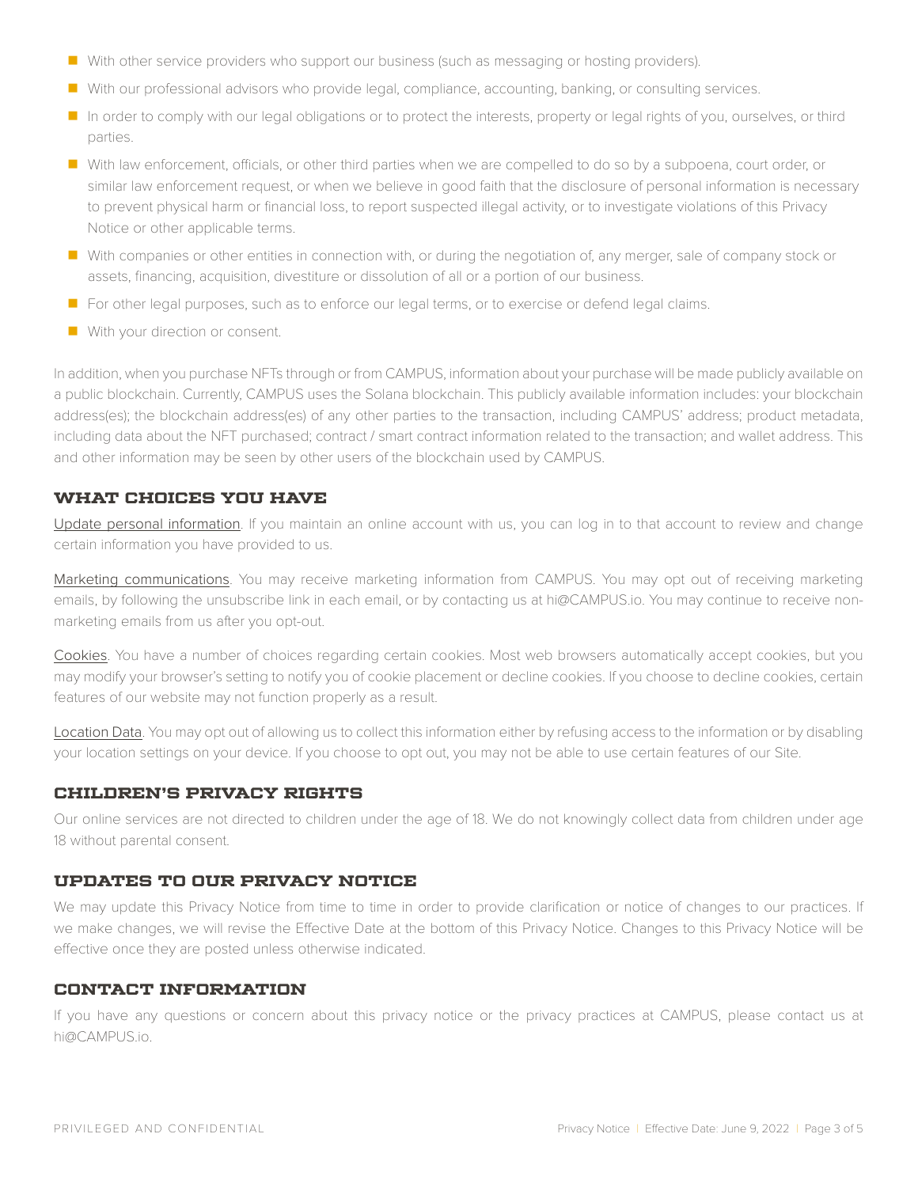- With other service providers who support our business (such as messaging or hosting providers).
- With our professional advisors who provide legal, compliance, accounting, banking, or consulting services.
- In order to comply with our legal obligations or to protect the interests, property or legal rights of you, ourselves, or third parties.
- With law enforcement, officials, or other third parties when we are compelled to do so by a subpoena, court order, or similar law enforcement request, or when we believe in good faith that the disclosure of personal information is necessary to prevent physical harm or financial loss, to report suspected illegal activity, or to investigate violations of this Privacy Notice or other applicable terms.
- With companies or other entities in connection with, or during the negotiation of, any merger, sale of company stock or assets, financing, acquisition, divestiture or dissolution of all or a portion of our business.
- **F** For other legal purposes, such as to enforce our legal terms, or to exercise or defend legal claims.
- With your direction or consent.

In addition, when you purchase NFTs through or from CAMPUS, information about your purchase will be made publicly available on a public blockchain. Currently, CAMPUS uses the Solana blockchain. This publicly available information includes: your blockchain address(es); the blockchain address(es) of any other parties to the transaction, including CAMPUS' address; product metadata, including data about the NFT purchased; contract / smart contract information related to the transaction; and wallet address. This and other information may be seen by other users of the blockchain used by CAMPUS.

# <span id="page-2-0"></span>**What Choices You Have**

Update personal information. If you maintain an online account with us, you can log in to that account to review and change certain information you have provided to us.

Marketing communications. You may receive marketing information from CAMPUS. You may opt out of receiving marketing emails, by following the unsubscribe link in each email, or by contacting us at [hi@CAMPUS.io](mailto:hi%40CAMPUS.io?subject=). You may continue to receive nonmarketing emails from us after you opt-out.

Cookies. You have a number of choices regarding certain cookies. Most web browsers automatically accept cookies, but you may modify your browser's setting to notify you of cookie placement or decline cookies. If you choose to decline cookies, certain features of our website may not function properly as a result.

Location Data. You may opt out of allowing us to collect this information either by refusing access to the information or by disabling your location settings on your device. If you choose to opt out, you may not be able to use certain features of our Site.

#### <span id="page-2-1"></span>**Children's Privacy Rights**

Our online services are not directed to children under the age of 18. We do not knowingly collect data from children under age 18 without parental consent.

# <span id="page-2-2"></span>**Updates to Our Privacy Notice**

We may update this Privacy Notice from time to time in order to provide clarification or notice of changes to our practices. If we make changes, we will revise the Effective Date at the bottom of this Privacy Notice. Changes to this Privacy Notice will be effective once they are posted unless otherwise indicated.

#### <span id="page-2-3"></span>**Contact Information**

If you have any questions or concern about this privacy notice or the privacy practices at CAMPUS, please contact us at [hi@CAMPUS.io.](mailto:hi%40CAMPUS.io?subject=)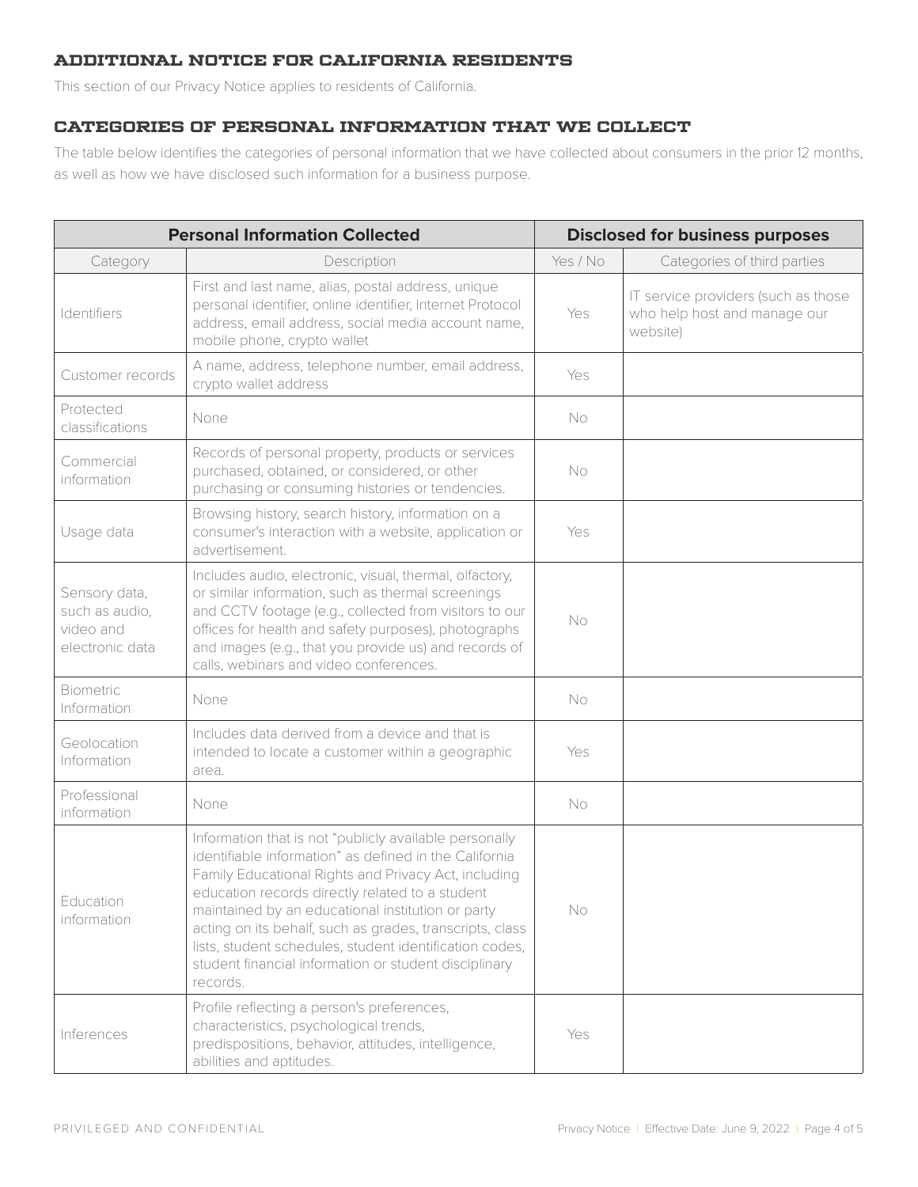# <span id="page-3-0"></span>**Additional Notice for California Residents**

This section of our Privacy Notice applies to residents of California.

### **Categories of Personal information That We Collect**

The table below identifies the categories of personal information that we have collected about consumers in the prior 12 months, as well as how we have disclosed such information for a business purpose.

| <b>Personal Information Collected</b>                           |                                                                                                                                                                                                                                                                                                                                                                                                                                                                              | <b>Disclosed for business purposes</b> |                                                                                 |
|-----------------------------------------------------------------|------------------------------------------------------------------------------------------------------------------------------------------------------------------------------------------------------------------------------------------------------------------------------------------------------------------------------------------------------------------------------------------------------------------------------------------------------------------------------|----------------------------------------|---------------------------------------------------------------------------------|
| Category                                                        | Description                                                                                                                                                                                                                                                                                                                                                                                                                                                                  | Yes / No                               | Categories of third parties                                                     |
| Identifiers                                                     | First and last name, alias, postal address, unique<br>personal identifier, online identifier, Internet Protocol<br>address, email address, social media account name,<br>mobile phone, crypto wallet                                                                                                                                                                                                                                                                         | Yes                                    | IT service providers (such as those<br>who help host and manage our<br>website) |
| Customer records                                                | A name, address, telephone number, email address,<br>crypto wallet address                                                                                                                                                                                                                                                                                                                                                                                                   | Yes                                    |                                                                                 |
| Protected<br>classifications                                    | None                                                                                                                                                                                                                                                                                                                                                                                                                                                                         | <b>No</b>                              |                                                                                 |
| Commercial<br>information                                       | Records of personal property, products or services<br>purchased, obtained, or considered, or other<br>purchasing or consuming histories or tendencies.                                                                                                                                                                                                                                                                                                                       | No                                     |                                                                                 |
| Usage data                                                      | Browsing history, search history, information on a<br>consumer's interaction with a website, application or<br>advertisement.                                                                                                                                                                                                                                                                                                                                                | Yes                                    |                                                                                 |
| Sensory data,<br>such as audio,<br>video and<br>electronic data | Includes audio, electronic, visual, thermal, olfactory,<br>or similar information, such as thermal screenings<br>and CCTV footage (e.g., collected from visitors to our<br>offices for health and safety purposes), photographs<br>and images (e.g., that you provide us) and records of<br>calls, webinars and video conferences.                                                                                                                                           | <b>No</b>                              |                                                                                 |
| Biometric<br>Information                                        | None                                                                                                                                                                                                                                                                                                                                                                                                                                                                         | No                                     |                                                                                 |
| Geolocation<br>Information                                      | Includes data derived from a device and that is<br>intended to locate a customer within a geographic<br>area.                                                                                                                                                                                                                                                                                                                                                                | Yes                                    |                                                                                 |
| Professional<br>information                                     | None                                                                                                                                                                                                                                                                                                                                                                                                                                                                         | <b>No</b>                              |                                                                                 |
| Education<br>information                                        | Information that is not "publicly available personally<br>identifiable information" as defined in the California<br>Family Educational Rights and Privacy Act, including<br>education records directly related to a student<br>maintained by an educational institution or party<br>acting on its behalf, such as grades, transcripts, class<br>lists, student schedules, student identification codes,<br>student financial information or student disciplinary<br>records. | No                                     |                                                                                 |
| Inferences                                                      | Profile reflecting a person's preferences,<br>characteristics, psychological trends,<br>predispositions, behavior, attitudes, intelligence,<br>abilities and aptitudes.                                                                                                                                                                                                                                                                                                      | Yes                                    |                                                                                 |